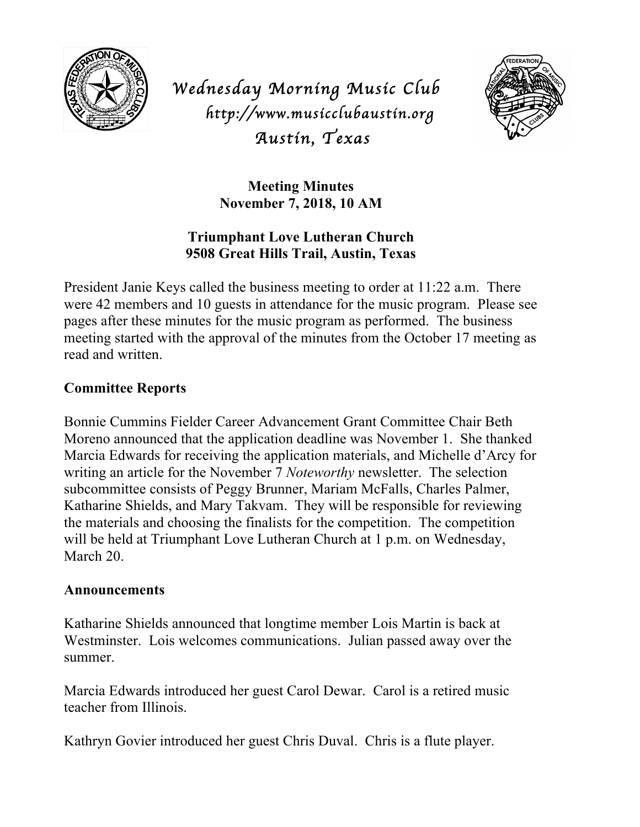

*Wednesday Morning Music Club http://www.musicclubaustin.org Austin, Texas* 



**Meeting Minutes November 7, 2018, 10 AM**

## **Triumphant Love Lutheran Church 9508 Great Hills Trail, Austin, Texas**

President Janie Keys called the business meeting to order at 11:22 a.m. There were 42 members and 10 guests in attendance for the music program. Please see pages after these minutes for the music program as performed. The business meeting started with the approval of the minutes from the October 17 meeting as read and written.

## **Committee Reports**

Bonnie Cummins Fielder Career Advancement Grant Committee Chair Beth Moreno announced that the application deadline was November 1. She thanked Marcia Edwards for receiving the application materials, and Michelle d'Arcy for writing an article for the November 7 *Noteworthy* newsletter. The selection subcommittee consists of Peggy Brunner, Mariam McFalls, Charles Palmer, Katharine Shields, and Mary Takvam. They will be responsible for reviewing the materials and choosing the finalists for the competition. The competition will be held at Triumphant Love Lutheran Church at 1 p.m. on Wednesday, March 20.

## **Announcements**

Katharine Shields announced that longtime member Lois Martin is back at Westminster. Lois welcomes communications. Julian passed away over the summer.

Marcia Edwards introduced her guest Carol Dewar. Carol is a retired music teacher from Illinois.

Kathryn Govier introduced her guest Chris Duval. Chris is a flute player.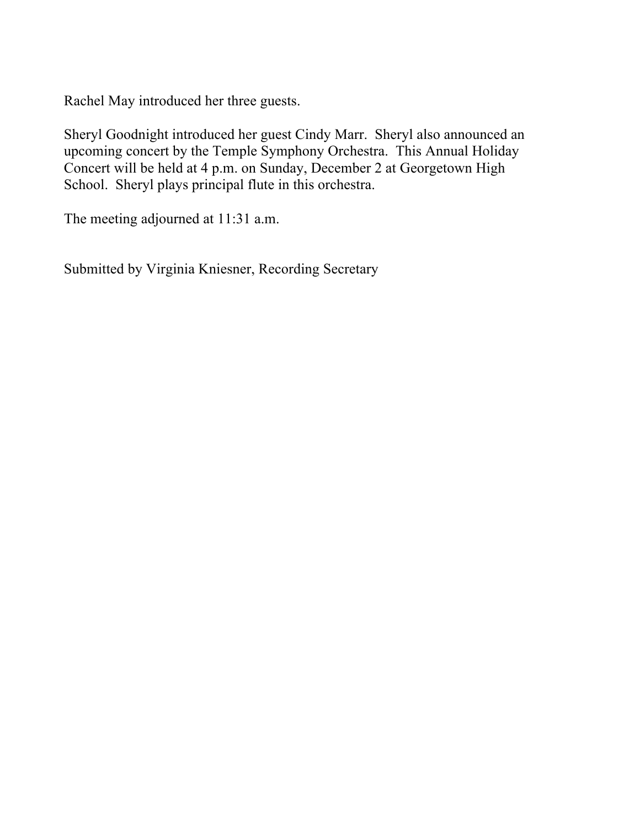Rachel May introduced her three guests.

Sheryl Goodnight introduced her guest Cindy Marr. Sheryl also announced an upcoming concert by the Temple Symphony Orchestra. This Annual Holiday Concert will be held at 4 p.m. on Sunday, December 2 at Georgetown High School. Sheryl plays principal flute in this orchestra.

The meeting adjourned at 11:31 a.m.

Submitted by Virginia Kniesner, Recording Secretary